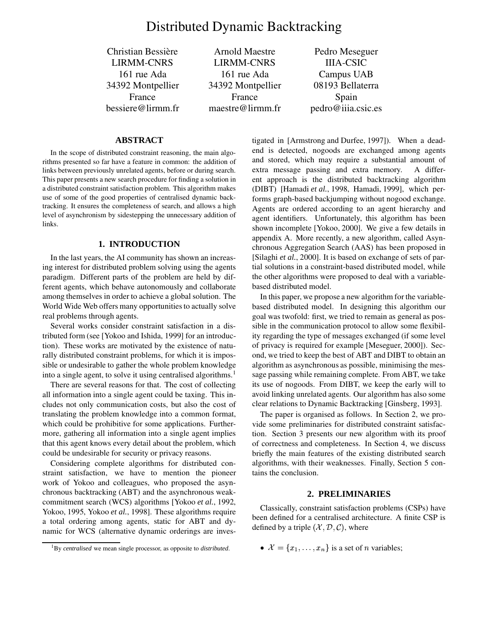# Distributed Dynamic Backtracking

Christian Bessière LIRMM-CNRS 161 rue Ada 34392 Montpellier France bessiere@lirmm.fr

Arnold Maestre LIRMM-CNRS 161 rue Ada 34392 Montpellier France maestre@lirmm.fr

Pedro Meseguer IIIA-CSIC Campus UAB 08193 Bellaterra Spain pedro@iiia.csic.es

### **ABSTRACT**

In the scope of distributed constraint reasoning, the main algorithms presented so far have a feature in common: the addition of links between previously unrelated agents, before or during search. This paper presents a new search procedure for finding a solution in a distributed constraint satisfaction problem. This algorithm makes use of some of the good properties of centralised dynamic backtracking. It ensures the completeness of search, and allows a high level of asynchronism by sidestepping the unnecessary addition of links.

### **1. INTRODUCTION**

In the last years, the AI community has shown an increasing interest for distributed problem solving using the agents paradigm. Different parts of the problem are held by different agents, which behave autonomously and collaborate among themselves in order to achieve a global solution. The World Wide Web offers many opportunities to actually solve real problems through agents.

Several works consider constraint satisfaction in a distributed form (see [Yokoo and Ishida, 1999] for an introduction). These works are motivated by the existence of naturally distributed constraint problems, for which it is impossible or undesirable to gather the whole problem knowledge into a single agent, to solve it using centralised algorithms.<sup>1</sup>

There are several reasons for that. The cost of collecting all information into a single agent could be taxing. This includes not only communication costs, but also the cost of translating the problem knowledge into a common format, which could be prohibitive for some applications. Furthermore, gathering all information into a single agent implies that this agent knows every detail about the problem, which could be undesirable for security or privacy reasons.

Considering complete algorithms for distributed constraint satisfaction, we have to mention the pioneer work of Yokoo and colleagues, who proposed the asynchronous backtracking (ABT) and the asynchronous weakcommitment search (WCS) algorithms [Yokoo *et al.*, 1992, Yokoo, 1995, Yokoo *et al.*, 1998]. These algorithms require a total ordering among agents, static for ABT and dynamic for WCS (alternative dynamic orderings are investigated in [Armstrong and Durfee, 1997]). When a deadend is detected, nogoods are exchanged among agents and stored, which may require a substantial amount of extra message passing and extra memory. A different approach is the distributed backtracking algorithm (DIBT) [Hamadi *et al.*, 1998, Hamadi, 1999], which performs graph-based backjumping without nogood exchange. Agents are ordered according to an agent hierarchy and agent identifiers. Unfortunately, this algorithm has been shown incomplete [Yokoo, 2000]. We give a few details in appendix A. More recently, a new algorithm, called Asynchronous Aggregation Search (AAS) has been proposed in [Silaghi *et al.*, 2000]. It is based on exchange of sets of partial solutions in a constraint-based distributed model, while the other algorithms were proposed to deal with a variablebased distributed model.

In this paper, we propose a new algorithm for the variablebased distributed model. In designing this algorithm our goal was twofold: first, we tried to remain as general as possible in the communication protocol to allow some flexibility regarding the type of messages exchanged (if some level of privacy is required for example [Meseguer, 2000]). Second, we tried to keep the best of ABT and DIBT to obtain an algorithm as asynchronous as possible, minimising the message passing while remaining complete. From ABT, we take its use of nogoods. From DIBT, we keep the early will to avoid linking unrelated agents. Our algorithm has also some clear relations to Dynamic Backtracking [Ginsberg, 1993].

The paper is organised as follows. In Section 2, we provide some preliminaries for distributed constraint satisfaction. Section 3 presents our new algorithm with its proof of correctness and completeness. In Section 4, we discuss briefly the main features of the existing distributed search algorithms, with their weaknesses. Finally, Section 5 contains the conclusion.

#### **2. PRELIMINARIES**

Classically, constraint satisfaction problems (CSPs) have been defined for a centralised architecture. A finite CSP is defined by a triple  $(\mathcal{X}, \mathcal{D}, \mathcal{C})$ , where

•  $\mathcal{X} = \{x_1, \ldots, x_n\}$  is a set of *n* variables;

<sup>1</sup>By *centralised* we mean single processor, as opposite to *distributed*.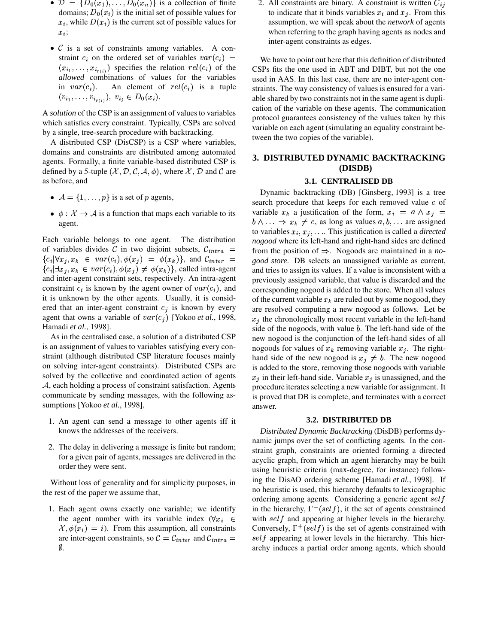- $\mathcal{D} = \{D_0(x_1), \ldots, D_0(x_n)\}\$ is a collection of finite domains;  $D_0(x_i)$  is the initial set of possible values for  $x_i$ , while  $D(x_i)$  is the current set of possible values for  $x_i;$
- $\bullet$   $\mathcal C$  is a set of constraints among variables. A constraint  $c_i$  on the ordered set of variables  $var(c_i)$  =  $(x_{i_1}, \ldots, x_{i_{r(i)}})$  specifies the relation  $rel(c_i)$  of the *allowed* combinations of values for the variables in  $var(c_i)$ . A . An element of  $rel(c_i)$  is a tuple  $(v_{i_1}, \ldots, v_{i_{\pi(i)}}), v_{i_i} \in D_0(x_i).$

A *solution* of the CSP is an assignment of values to variables which satisfies every constraint. Typically, CSPs are solved by a single, tree-search procedure with backtracking.

A distributed CSP (DisCSP) is a CSP where variables, domains and constraints are distributed among automated agents. Formally, a finite variable-based distributed CSP is defined by a 5-tuple  $(X, \mathcal{D}, \mathcal{C}, \mathcal{A}, \phi)$ , where X, D and C are as before, and

- $A = \{1, ..., p\}$  is a set of p agents,
- $\bullet \phi : \mathcal{X} \to \mathcal{A}$  is a function that maps each variable to its agent.

Each variable belongs to one agent. The distribution of variables divides C in two disjoint subsets,  $C_{intra}$  = from the  ${c_i | \forall x_i, x_k \in \text{var}(c_i), \phi(x_i) = \phi(x_k)}$ , and  $C_{inter} = \text{good stor}$  ${c_i | \exists x_j, x_k \in var(c_i), \phi(x_j) \neq \phi(x_k)}$ , called intra-agent and inter-agent constraint sets, respectively. An intra-agent constraint  $c_i$  is known by the agent owner of  $var(c_i)$ , and it is unknown by the other agents. Usually, it is considered that an inter-agent constraint  $c_i$  is known by every agent that owns a variable of  $var(c_i)$  [Yokoo *et al.*, 1998, Hamadi *et al.*, 1998].

As in the centralised case, a solution of a distributed CSP is an assignment of values to variables satisfying every constraint (although distributed CSP literature focuses mainly on solving inter-agent constraints). Distributed CSPs are solved by the collective and coordinated action of agents  $A$ , each holding a process of constraint satisfaction. Agents communicate by sending messages, with the following assumptions [Yokoo *et al.*, 1998],

- 1. An agent can send a message to other agents iff it knows the addresses of the receivers.
- 2. The delay in delivering a message is finite but random; for a given pair of agents, messages are delivered in the order they were sent.

Without loss of generality and for simplicity purposes, in the rest of the paper we assume that,

1. Each agent owns exactly one variable; we identify the agent number with its variable index ( $\forall x_i \in$  $\mathcal{X}, \phi(x_i) = i$ ). From this assumption, all constraints are inter-agent constraints, so  $C = C_{inter}$  and  $C_{intra}$  $\emptyset$ .

2. All constraints are binary. A constraint is written  $C_{ij}$ to indicate that it binds variables  $x_i$  and  $x_j$ . From this assumption, we will speak about the *network* of agents when referring to the graph having agents as nodes and inter-agent constraints as edges.

We have to point out here that this definition of distributed CSPs fits the one used in ABT and DIBT, but not the one used in AAS. In this last case, there are no inter-agent constraints. The way consistency of values is ensured for a variable shared by two constraints not in the same agent is duplication of the variable on these agents. The communication protocol guarantees consistency of the values taken by this variable on each agent (simulating an equality constraint between the two copies of the variable).

### **3. DISTRIBUTED DYNAMIC BACKTRACKING (DISDB)**

#### **3.1. CENTRALISED DB**

Dynamic backtracking (DB) [Ginsberg, 1993] is a tree search procedure that keeps for each removed value  $c$  of variable  $x_k$  a justification of the form,  $x_i = a \wedge x_i =$  $b \wedge \ldots \Rightarrow x_k \neq c$ , as long as values  $a, b, \ldots$  are assigned to variables  $x_i, x_j, \ldots$  This justification is called a *directed nogood* where its left-hand and right-hand sides are defined from the position of  $\Rightarrow$ . Nogoods are maintained in a *nogood store*. DB selects an unassigned variable as current, and tries to assign its values. If a value is inconsistent with a previously assigned variable, that value is discarded and the corresponding nogood is added to the store. When all values of the current variable  $x_k$  are ruled out by some nogood, they are resolved computing a new nogood as follows. Let be  $x_i$  the chronologically most recent variable in the left-hand side of the nogoods, with value  $b$ . The left-hand side of the new nogood is the conjunction of the left-hand sides of all nogoods for values of  $x_k$  removing variable  $x_i$ . The righthand side of the new nogood is  $x_i \neq b$ . The new nogood is added to the store, removing those nogoods with variable  $x_j$  in their left-hand side. Variable  $x_j$  is unassigned, and the procedure iterates selecting a new variable for assignment. It is proved that DB is complete, and terminates with a correct answer.

#### **3.2. DISTRIBUTED DB**

*Distributed Dynamic Backtracking* (DisDB) performs dynamic jumps over the set of conflicting agents. In the constraint graph, constraints are oriented forming a directed acyclic graph, from which an agent hierarchy may be built using heuristic criteria (max-degree, for instance) following the DisAO ordering scheme [Hamadi *et al.*, 1998]. If no heuristic is used, this hierarchy defaults to lexicographic ordering among agents. Considering a generic agent  $self$ in the hierarchy,  $\Gamma^{-}(self)$ , it the set of agents constrained with  $self$  and appearing at higher levels in the hierarchy. Conversely,  $\Gamma^+(self)$  is the set of agents constrained with self appearing at lower levels in the hierarchy. This hierarchy induces a partial order among agents, which should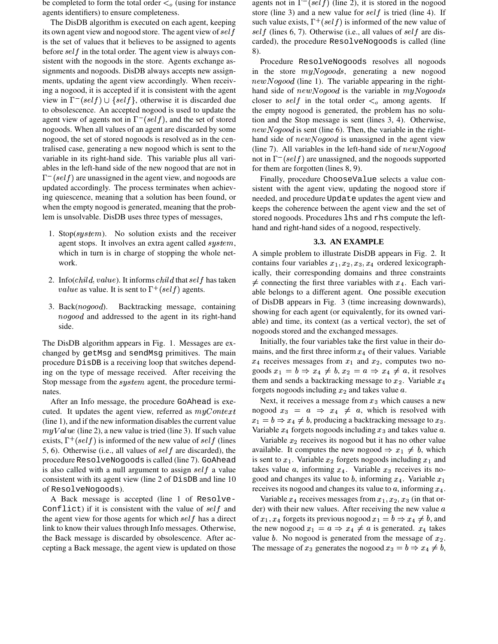be completed to form the total order  $\lto_o$  (using for instance agents identifiers) to ensure completeness.

The DisDB algorithm is executed on each agent, keeping its own agent view and nogood store. The agent view of  $self$ is the set of values that it believes to be assigned to agents before  $self$  in the total order. The agent view is always consistent with the nogoods in the store. Agents exchange assignments and nogoods. DisDB always accepts new assignments, updating the agent view accordingly. When receiving a nogood, it is accepted if it is consistent with the agent view in  $\Gamma^{-}(self) \cup \{self\}$ , otherwise it is discarded due to obsolescence. An accepted nogood is used to update the agent view of agents not in  $\Gamma^{-}(self)$ , and the set of stored nogoods. When all values of an agent are discarded by some nogood, the set of stored nogoods is resolved as in the centralised case, generating a new nogood which is sent to the variable in its right-hand side. This variable plus all variables in the left-hand side of the new nogood that are not in  $\Gamma^{-} (self)$  are unassigned in the agent view, and nogoods are updated accordingly. The process terminates when achieving quiescence, meaning that a solution has been found, or when the empty nogood is generated, meaning that the problem is unsolvable. DisDB uses three types of messages,

- 1. Stop( $system$ ). No solution exists and the receiver agent stops. It involves an extra agent called  $system$ , which in turn is in charge of stopping the whole network.
- 2. Info $\left( child,value\right)$ . It informs  $child$  that  $self$  has taken *value* as value. It is sent to  $\Gamma^+(self)$  agents.
- 3. Back(nogood). ). Backtracking message, containing nogood and addressed to the agent in its right-hand side.

The DisDB algorithm appears in Fig. 1. Messages are exchanged by getMsg and sendMsg primitives. The main procedure DisDB is a receiving loop that switches depending on the type of message received. After receiving the Stop message from the *system* agent, the procedure terminates.

After an Info message, the procedure GoAhead is executed. It updates the agent view, referred as  $myContext$ (line 1), and if the new information disables the current value  $myValue$  (line 2), a new value is tried (line 3). If such value exists,  $\Gamma^+(self)$  is informed of the new value of  $self$  (lines 5, 6). Otherwise (i.e., all values of  $self$  are discarded), the procedure ResolveNogoods is called (line 7). GoAhead is also called with a null argument to assign  $self$  a value consistent with its agent view (line 2 of DisDB and line 10 of ResolveNogoods).

A Back message is accepted (line 1 of Resolve-Conflict) if it is consistent with the value of  $self$  and the agent view for those agents for which  $self$  has a direct link to know their values through Info messages. Otherwise, the Back message is discarded by obsolescence. After accepting a Back message, the agent view is updated on those

agents not in  $\Gamma^{-}$  (self) (line 2), it is stored in the nogood store (line 3) and a new value for  $self$  is tried (line 4). If such value exists,  $\Gamma^+(self)$  is informed of the new value of self (lines 6, 7). Otherwise (i.e., all values of self are discarded), the procedure ResolveNogoods is called (line 8).

Procedure ResolveNogoods resolves all nogoods in the store  $myNogoods$ , generating a new nogood  $newNogood$  (line 1). The variable appearing in the righthand side of  $newNogood$  is the variable in  $myNogoods$ closer to self in the total order  $\lto_a$  among agents. If the empty nogood is generated, the problem has no solution and the Stop message is sent (lines 3, 4). Otherwise,  $newNogood$  is sent (line 6). Then, the variable in the righthand side of  $newNogood$  is unassigned in the agent view (line 7). All variables in the left-hand side of  $newNogood$ not in  $\Gamma^{-} (self)$  are unassigned, and the nogoods supported for them are forgotten (lines 8, 9).

Finally, procedure ChooseValue selects a value consistent with the agent view, updating the nogood store if needed, and procedure Update updates the agent view and keeps the coherence between the agent view and the set of stored nogoods. Procedures lhs and rhs compute the lefthand and right-hand sides of a nogood, respectively.

### **3.3. AN EXAMPLE**

A simple problem to illustrate DisDB appears in Fig. 2. It contains four variables  $x_1, x_2, x_3, x_4$  ordered lexicographically, their corresponding domains and three constraints  $\neq$  connecting the first three variables with  $x_4$ . Each variable belongs to a different agent. One possible execution of DisDB appears in Fig. 3 (time increasing downwards), showing for each agent (or equivalently, for its owned variable) and time, its context (as a vertical vector), the set of nogoods stored and the exchanged messages.

Initially, the four variables take the first value in their domains, and the first three inform  $x_4$  of their values. Variable  $x_4$  receives messages from  $x_1$  and  $x_2$ , computes two nogoods  $x_1 = b \Rightarrow x_4 \neq b$ ,  $x_2 = a \Rightarrow x_4 \neq a$ , it resolves them and sends a backtracking message to  $x_2$ . Variable  $x_4$ forgets nogoods including  $x_2$  and takes value  $a$ .

t nogood  $x_3 = a \Rightarrow x_4 \neq a$ , which is resolved with Next, it receives a message from  $x_3$  which causes a new  $x_1 = b \Rightarrow x_4 \neq b$ , producing a backtracking message to  $x_3$ . Variable  $x_4$  forgets nogoods including  $x_3$  and takes value  $a$ .

Variable  $x_2$  receives its nogood but it has no other value available. It computes the new nogood  $\Rightarrow x_1 \neq b$ , which is sent to  $x_1$ . Variable  $x_2$  forgets nogoods including  $x_1$  and takes value  $a$ , informing  $x_4$ . Variable  $x_3$  receives its nogood and changes its value to b, informing  $x_4$ . Variable  $x_1$ receives its nogood and changes its value to  $a$ , informing  $x_4$ .

Variable  $x_4$  receives messages from  $x_1, x_2, x_3$  (in that order) with their new values. After receiving the new value  $a$ of  $x_1, x_4$  forgets its previous nogood  $x_1 = b \Rightarrow x_4 \neq b$ , and the new nogood  $x_1 = a \Rightarrow x_4 \neq a$  is generated.  $x_4$  takes value b. No nogood is generated from the message of  $x_2$ . The message of  $x_3$  generates the nogood  $x_3 = b \Rightarrow x_4 \neq b$ ,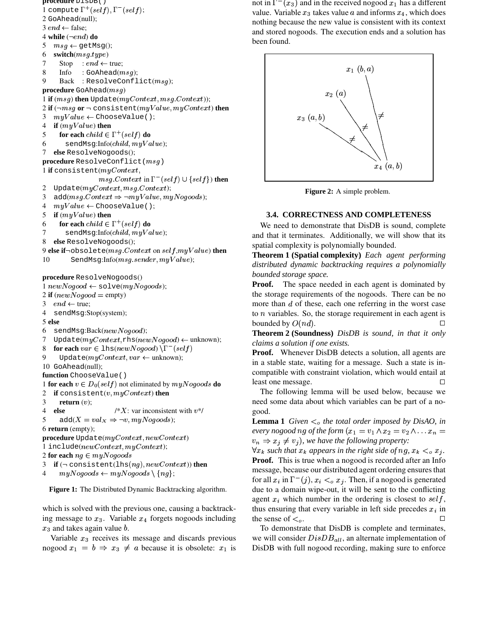**procedure** DisDB() 1 compute  $\Gamma^+(self), \Gamma^-(self);$ 2 GoAhead(null); 3 end  $\leftarrow$  false;  $4 \text{ while } (\neg \text{end}) \text{ do}$  $5 \quad msg \leftarrow \texttt{getMsg}();$ 6  $\textbf{switch}(msg_type)$ 7 Stop :  $end \leftarrow true;$  $8$  Info : GoAhead $(msg)$ ; 9 Back : ResolveConflict $(msg);$  $\mathbf{procedure}$  GoAhead $(msg)$  $1$  if  $(msg)$  then  $Update(myContext, msgContext)$ ;  $2$  **if** ( $\neg\, msg\, or\, \neg\, consistent (myValue, myContext)$  then  $3$   $myValue \leftarrow$  ChooseValue(); 4 **if**  $(myValue)$  **then** 5 **for each**  $child \in \Gamma^+(self)$  **do** 6  $=$  sendMsg:Info $\left( child, myValue \right);$ 7 **else** ResolveNogoods(); **procedure** ResolveConflict( )  $1$  **if** consistent( $myContext,$  $msg. Context$  in  $\Gamma^-(self) \cup \{self\})$  then  $2$  Update( $myContext, msg. Context);$ 3 add $(msg.Context \Rightarrow \neg myValue, myNogoods);$  $4$   $myValue \leftarrow$  ChooseValue(); 5 **if**  $(myValue)$  **then** 6 **for each**  $child \in \Gamma^+(self)$  **do**  $7$  sendMsg:Info( $child, myValue$ ); 8 **else** ResolveNogoods();  $9$  **else if**¬<code>obsolete( $msg.Context$  on  $self, myValue$ ) then</code> 10 SendMsg:Info $(msg.sender, myValue);$ **procedure** ResolveNogoods()  $1 new Nogood \leftarrow \texttt{solve}(myNogoods);$ 2 **if**  $(newNogood = \text{empty})$ 3  $end \leftarrow true;$ 4 sendMsg:Stop(system); 5 **else** 6 sendMsg:Back( $newNogood$ );  $7$  Update $(myContext, \texttt{rhs}(newNogood) \leftarrow \texttt{unknown});$ 8 **for each**  $var \in \text{lhs}(newNogood) \setminus \Gamma^-(self)$ 9 Update $(myContext, var \leftarrow$ unknown); 10 GoAhead(null); **function** ChooseValue() 1 **for each**  $v \in D_0(self)$  not eliminated by  $myNogoods$  **do** 2 **if** consistent( $v, myContext$ ) **then**  $3$  **return**  $(v)$ ; 4 **else**  $/*X$ : var inconsistent with  $v*/$ 5 add $(X = val_X \Rightarrow \neg v, myNogoods);$ 6 **return** (empty);  $\boldsymbol{procedure}$   $\mathrm{Update}(myContext, newContext)$  $1$  include( $newContext, myContext$ ); 2 **for each**  $ng \in myNogoods$ 3 if  $(\neg \text{ consistent}(\text{lhs}(ng), newContext))$  then  $4 \qquad myNogoods \leftarrow myNogoods \setminus \{ng\};$ 

**Figure 1:** The Distributed Dynamic Backtracking algorithm.

which is solved with the previous one, causing a backtracking message to  $x_3$ . Variable  $x_4$  forgets nogoods including  $x_3$  and takes again value b.

Variable  $x_3$  receives its message and discards previous nogood  $x_1 = b \Rightarrow x_3 \neq a$  because it is obsolete:  $x_1$  is Di

not in  $\Gamma$ <sup>-</sup> $(x_3)$  and in the received nogood  $x_1$  has a different value. Variable  $x_3$  takes value a and informs  $x_4$ , which does nothing because the new value is consistent with its context and stored nogoods. The execution ends and a solution has been found.



**Figure 2:** A simple problem.

### **3.4. CORRECTNESS AND COMPLETENESS**

We need to demonstrate that DisDB is sound, complete and that it terminates. Additionally, we will show that its spatial complexity is polynomially bounded.

**Theorem 1 (Spatial complexity)** *Each agent performing distributed dynamic backtracking requires a polynomially bounded storage space.*

**Proof.** The space needed in each agent is dominated by the storage requirements of the nogoods. There can be no more than  $d$  of these, each one referring in the worst case to  $n$  variables. So, the storage requirement in each agent is bounded by  $O(nd)$ . . The contract of the contract of  $\Box$  is a set of the contract of the contract of the contract of the contract of the contract of the contract of the contract of the contract of the contract of the contract of the contra

**Theorem 2 (Soundness)** *DisDB is sound, in that it only claims a solution if one exists.*

**Proof.** Whenever DisDB detects a solution, all agents are in a stable state, waiting for a message. Such a state is incompatible with constraint violation, which would entail at least one message.

The following lemma will be used below, because we need some data about which variables can be part of a nogood.

**Lemma** 1 *Given*  $\lt_{o}$  *the total order imposed by DisAO, in* every nogood  $ng$  of the form  $(x_1 = v_1 \wedge x_2 = v_2 \wedge \ldots x_n = 0$  $v_n \Rightarrow x_j \neq v_j$ , we have the following property:

 $\forall x_k$  *such that*  $x_k$  *appears in the right side of ng,*  $x_k <_o x_j$ *.* **Proof.** This is true when a nogood is recorded after an Info message, because our distributed agent ordering ensures that for all  $x_i$  in  $\Gamma^-(j)$ ,  $x_i <_o x_j$ . Then, if a nogood is generated due to a domain wipe-out, it will be sent to the conflicting agent  $x_i$  which number in the ordering is closest to  $self$ , thus ensuring that every variable in left side precedes  $x_i$  in the sense of  $\lt_o$ .

To demonstrate that DisDB is complete and terminates, we will consider  $DisDB_{all}$ , an alternate implementation of DisDB with full nogood recording, making sure to enforce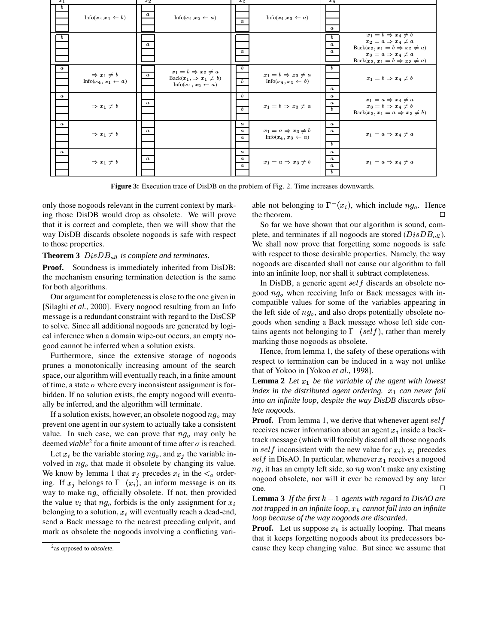| -37                                                         | -30 2                                                                                                    | $x_3$                                                                                                                           | $x_4$                                                                                                                                                                                                                                               |  |
|-------------------------------------------------------------|----------------------------------------------------------------------------------------------------------|---------------------------------------------------------------------------------------------------------------------------------|-----------------------------------------------------------------------------------------------------------------------------------------------------------------------------------------------------------------------------------------------------|--|
| $Info(x_4, x_1 \leftarrow b)$                               | a<br>$Info(x_4, x_2 \leftarrow a)$                                                                       | Info $(x_4, x_3 \leftarrow a)$<br>$\alpha$                                                                                      | $\boldsymbol{a}$                                                                                                                                                                                                                                    |  |
|                                                             | $\alpha$                                                                                                 | $\boldsymbol{a}$                                                                                                                | $x_1 = b \Rightarrow x_4 \neq b$<br>b<br>$x_2 = a \Rightarrow x_4 \neq a$<br>$\boldsymbol{a}$<br>$Back(x_2, x_1 = b \Rightarrow x_2 \neq a)$<br>$\boldsymbol{a}$<br>$x_3 = a \Rightarrow x_4 \neq a$<br>$Back(x_3, x_1 = b \Rightarrow x_3 \neq a)$ |  |
| $\Rightarrow x_1 \neq b$<br>Info( $x_4, x_1 \leftarrow a$ ) | $x_1 = b \Rightarrow x_2 \neq a$<br>$Back(x_1, \Rightarrow x_1 \neq b)$<br>$Info(x_4, x_2 \leftarrow a)$ | $x_1 = b \Rightarrow x_3 \neq a$<br>$\overline{b}$<br>$Info(x_4, x_3 \leftarrow b)$                                             | n<br>$x_1 = b \Rightarrow x_4 \neq b$<br>$\boldsymbol{a}$                                                                                                                                                                                           |  |
| $\Rightarrow$ $x_1 \neq b$                                  | a                                                                                                        | b<br>$x_1 = b \Rightarrow x_3 \neq a$<br>$\overline{b}$                                                                         | a<br>$x_1 = a \Rightarrow x_4 \neq a$<br>$\frac{a}{b}$<br>$x_3 = b \Rightarrow x_4 \neq b$<br>$\text{Back}(x_3\,,\,x_1\,=\,a\,\Rightarrow\,x_3\,\neq\,b)$                                                                                           |  |
| $\Rightarrow$ $x_1 \neq b$                                  | $\boldsymbol{a}$                                                                                         | $\boldsymbol{a}$<br>$x_1 = a \Rightarrow x_3 \neq b$<br>$\boldsymbol{a}$<br>Info( $x_4, x_3 \leftarrow a$ )<br>$\boldsymbol{a}$ | $\boldsymbol{a}$<br>$\boldsymbol{a}$<br>$x_1 = a \Rightarrow x_4 \neq a$<br>b                                                                                                                                                                       |  |
| $\Rightarrow x_1 \neq b$                                    | a                                                                                                        | $\boldsymbol{a}$<br>$\boldsymbol{a}$<br>$x_1 = a \Rightarrow x_3 \neq b$<br>$\boldsymbol{a}$                                    | a<br>$\boldsymbol{a}$<br>$x_1 = a \Rightarrow x_4 \neq a$<br>$\boldsymbol{a}$<br>$\overline{b}$                                                                                                                                                     |  |

**Figure 3:** Execution trace of DisDB on the problem of Fig. 2. Time increases downwards.

only those nogoods relevant in the current context by marking those DisDB would drop as obsolete. We will prove that it is correct and complete, then we will show that the way DisDB discards obsolete nogoods is safe with respect to those properties.

### **Theorem 3**  $DisDB_{all}$  *is complete and terminates.*

**Proof.** Soundness is immediately inherited from DisDB: the mechanism ensuring termination detection is the same for both algorithms.

Our argument for completeness is close to the one given in [Silaghi *et al.*, 2000]. Every nogood resulting from an Info message is a redundant constraint with regard to the DisCSP to solve. Since all additional nogoods are generated by logical inference when a domain wipe-out occurs, an empty nogood cannot be inferred when a solution exists.

Furthermore, since the extensive storage of nogoods prunes a monotonically increasing amount of the search space, our algorithm will eventually reach, in a finite amount of time, a state  $\sigma$  where every inconsistent assignment is forbidden. If no solution exists, the empty nogood will eventually be inferred, and the algorithm will terminate.

If a solution exists, however, an obsolete nogood  $ng_0$  may prevent one agent in our system to actually take a consistent value. In such case, we can prove that  $ng_0$  may only be deemed *viable*<sup>2</sup> for a finite amount of time after  $\sigma$  is reached.

Let  $x_i$  be the variable storing  $ng_o$ , and  $x_j$  the variable involved in  $ng_0$  that made it obsolete by changing its value. We know by lemma 1 that  $x_j$  precedes  $x_i$  in the  $\lt_o$  ordering. If  $x_i$  belongs to  $\Gamma^{-}(x_i)$ , an inform message is on its way to make  $n g<sub>o</sub>$  officially obsolete. If not, then provided the value  $v_i$  that  $ng_o$  forbids is the only assignment for  $x_i$ belonging to a solution,  $x_i$  will eventually reach a dead-end, send a Back message to the nearest preceding culprit, and mark as obsolete the nogoods involving a conflicting vari-

able not belonging to  $\Gamma^{-}(x_i)$ , which include  $ng_o$ . Hence the theorem.

So far we have shown that our algorithm is sound, complete, and terminates if all nogoods are stored  $(DisDB_{all})$ . We shall now prove that forgetting some nogoods is safe with respect to those desirable properties. Namely, the way nogoods are discarded shall not cause our algorithm to fall into an infinite loop, nor shall it subtract completeness.

In DisDB, a generic agent  $self$  discards an obsolete nogood  $ng_0$  when receiving Info or Back messages with incompatible values for some of the variables appearing in the left side of  $ng_0$ , and also drops potentially obsolete nogoods when sending a Back message whose left side contains agents not belonging to  $\Gamma^{-}(self)$ , rather than merely marking those nogoods as obsolete.

Hence, from lemma 1, the safety of these operations with respect to termination can be induced in a way not unlike that of Yokoo in [Yokoo *et al.*, 1998].

**Lemma** 2 Let  $x_1$  be the variable of the agent with lowest *index in the distributed agent ordering. can never fall into an infinite loop, despite the way DisDB discards obsolete nogoods.*

**Proof.** From lemma 1, we derive that whenever agent self receives newer information about an agent  $x_i$  inside a backtrack message (which will forcibly discard all those nogoods in self inconsistent with the new value for  $x_i$ ),  $x_i$  precedes self in DisAO. In particular, whenever  $x_1$  receives a nogood  $ng$ , it has an empty left side, so  $ng$  won't make any existing nogood obsolete, nor will it ever be removed by any later one.  $\Box$ 

**Lemma** 3 If the first  $k-1$  agents with regard to DisAO are *not trapped in an infinite loop,*  $x_k$  *cannot fall into an infinite loop because of the way nogoods are discarded.*

**Proof.** Let us suppose  $x_k$  is actually looping. That means that it keeps forgetting nogoods about its predecessors because they keep changing value. But since we assume that

<sup>2</sup> as opposed to *obsolete*.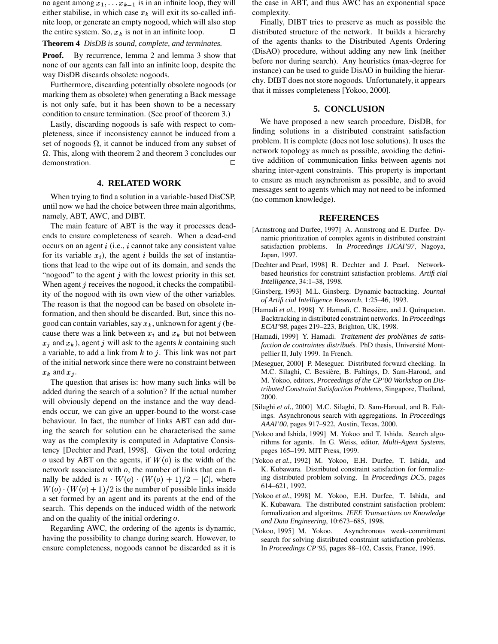no agent among  $x_1, \ldots x_{k-1}$  is in an infinite loop, they will either stabilise, in which case  $x_k$  will exit its so-called infinite loop, or generate an empty nogood, which will also stop the entire system. So,  $x_k$  is not in an infinite loop.  $\Box$ 

### **Theorem 4** *DisDB is sound, complete, and terminates.*

**Proof.** By recurrence, lemma 2 and lemma 3 show that none of our agents can fall into an infinite loop, despite the way DisDB discards obsolete nogoods.

Furthermore, discarding potentially obsolete nogoods (or marking them as obsolete) when generating a Back message is not only safe, but it has been shown to be a necessary condition to ensure termination. (See proof of theorem 3.)

Lastly, discarding nogoods is safe with respect to completeness, since if inconsistency cannot be induced from a set of nogoods  $\Omega$ , it cannot be induced from any subset of  $\Omega$ . This, along with theorem 2 and theorem 3 concludes our demonstration.

### **4. RELATED WORK**

When trying to find a solution in a variable-based DisCSP, until now we had the choice between three main algorithms, namely, ABT, AWC, and DIBT.

The main feature of ABT is the way it processes deadends to ensure completeness of search. When a dead-end occurs on an agent  $i$  (i.e.,  $i$  cannot take any consistent value for its variable  $x_i$ ), the agent i builds the set of instantiations that lead to the wipe out of its domain, and sends the "nogood" to the agent  $j$  with the lowest priority in this set. When agent  $j$  receives the nogood, it checks the compatibility of the nogood with its own view of the other variables. The reason is that the nogood can be based on obsolete information, and then should be discarded. But, since this nogood can contain variables, say  $x_k$ , unknown for agent j (because there was a link between  $x_i$  and  $x_k$  but not between  $x_i$  and  $x_k$ ), agent j will ask to the agents k containing such a variable, to add a link from  $k$  to  $j$ . This link was not part of the initial network since there were no constraint between  $x_k$  and  $x_j$ .

The question that arises is: how many such links will be added during the search of a solution? If the actual number will obviously depend on the instance and the way deadends occur, we can give an upper-bound to the worst-case behaviour. In fact, the number of links ABT can add during the search for solution can be characterised the same way as the complexity is computed in Adaptative Consistency [Dechter and Pearl, 1998]. Given the total ordering o used by ABT on the agents, if  $W(o)$  is the width of the network associated with  $o$ , the number of links that can finally be added is  $n \cdot W(o) \cdot (W(o) + 1)/2 - |\mathcal{C}|$ , where  $W(o) \cdot (W(o) + 1)/2$  is the number of possible links inside a set formed by an agent and its parents at the end of the search. This depends on the induced width of the network and on the quality of the initial ordering  $o$ .

Regarding AWC, the ordering of the agents is dynamic, having the possibility to change during search. However, to ensure completeness, nogoods cannot be discarded as it is the case in ABT, and thus AWC has an exponential space complexity.

Finally, DIBT tries to preserve as much as possible the distributed structure of the network. It builds a hierarchy of the agents thanks to the Distributed Agents Ordering (DisAO) procedure, without adding any new link (neither before nor during search). Any heuristics (max-degree for instance) can be used to guide DisAO in building the hierarchy. DIBT does not store nogoods. Unfortunately, it appears that it misses completeness [Yokoo, 2000].

### **5. CONCLUSION**

We have proposed a new search procedure, DisDB, for finding solutions in a distributed constraint satisfaction problem. It is complete (does not lose solutions). It uses the network topology as much as possible, avoiding the definitive addition of communication links between agents not sharing inter-agent constraints. This property is important to ensure as much asynchronism as possible, and to avoid messages sent to agents which may not need to be informed (no common knowledge).

#### **REFERENCES**

- [Armstrong and Durfee, 1997] A. Armstrong and E. Durfee. Dynamic prioritization of complex agents in distributed constraint satisfaction problems. In *Proceedings IJCAI'97*, Nagoya, Japan, 1997.
- [Dechter and Pearl, 1998] R. Dechter and J. Pearl. Networkbased heuristics for constraint satisfaction problems. *Artificial Intelligence*, 34:1–38, 1998.
- [Ginsberg, 1993] M.L. Ginsberg. Dynamic bactracking. *Journal of Artificial Intelligence Research*, 1:25–46, 1993.
- [Hamadi *et al.*, 1998] Y. Hamadi, C. Bessière, and J. Quinqueton. Backtracking in distributed constraint networks. In *Proceedings ECAI'98*, pages 219–223, Brighton, UK, 1998.
- [Hamadi, 1999] Y. Hamadi. *Traitement des problèmes de satisfaction de contraintes distribués*. PhD thesis, Université Montpellier II, July 1999. In French.
- [Meseguer, 2000] P. Meseguer. Distributed forward checking. In M.C. Silaghi, C. Bessière, B. Faltings, D. Sam-Haroud, and M. Yokoo, editors, *Proceedings of the CP'00 Workshop on Distributed Constraint Satisfaction Problems*, Singapore, Thailand, 2000.
- [Silaghi *et al.*, 2000] M.C. Silaghi, D. Sam-Haroud, and B. Faltings. Asynchronous search with aggregations. In *Proceedings AAAI'00*, pages 917–922, Austin, Texas, 2000.
- [Yokoo and Ishida, 1999] M. Yokoo and T. Ishida. Search algorithms for agents. In G. Weiss, editor, *Multi-Agent Systems*, pages 165–199. MIT Press, 1999.
- [Yokoo et al., 1992] M. Yokoo, E.H. Durfee, T. Ishida, and K. Kubawara. Distributed constraint satisfaction for formalizing distributed problem solving. In *Proceedings DCS*, pages 614–621, 1992.
- [Yokoo *et al.*, 1998] M. Yokoo, E.H. Durfee, T. Ishida, and K. Kubawara. The distributed constraint satisfaction problem: formalization and algoritms. *IEEE Transactions on Knowledge and Data Engineering*, 10:673–685, 1998.
- [Yokoo, 1995] M. Yokoo. Asynchronous weak-commitment search for solving distributed constraint satisfaction problems. In *Proceedings CP'95*, pages 88–102, Cassis, France, 1995.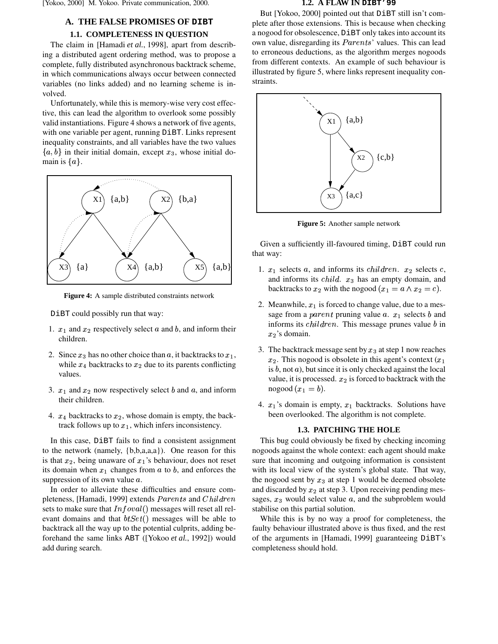[Yokoo, 2000] M. Yokoo. Private communication, 2000.

## **A. THE FALSE PROMISES OF DIBT**

### **1.1. COMPLETENESS IN QUESTION**

The claim in [Hamadi *et al.*, 1998], apart from describing a distributed agent ordering method, was to propose a complete, fully distributed asynchronous backtrack scheme, in which communications always occur between connected variables (no links added) and no learning scheme is involved.

Unfortunately, while this is memory-wise very cost effective, this can lead the algorithm to overlook some possibly valid instantiations. Figure 4 shows a network of five agents, with one variable per agent, running DiBT. Links represent inequality constraints, and all variables have the two values  $\{a, b\}$  in their initial domain, except  $x_3$ , whose initial domain is  $\{a\}$ .



**Figure 4:** A sample distributed constraints network

DiBT could possibly run that way:

- 1.  $x_1$  and  $x_2$  respectively select a and b, and inform their children.
- 2. Since  $x_3$  has no other choice than a, it backtracks to  $x_1$ , while  $x_4$  backtracks to  $x_2$  due to its parents conflicting values.
- 3.  $x_1$  and  $x_2$  now respectively select b and a, and inform their children.
- 4.  $x_4$  backtracks to  $x_2$ , whose domain is empty, the backtrack follows up to  $x_1$ , which infers inconsistency.

In this case, DiBT fails to find a consistent assignment to the network (namely, {b,b,a,a,a}). One reason for this is that  $x_2$ , being unaware of  $x_1$ 's behaviour, does not reset its domain when  $x_1$  changes from  $a$  to  $b$ , and enforces the suppression of its own value  $a$ .

In order to alleviate these difficulties and ensure completeness, [Hamadi, 1999] extends  $Parents$  and  $Children$ sets to make sure that  $Infoval()$  messages will reset all relevant domains and that  $b \, t \, S \, e \, t$  messages will be able to backtrack all the way up to the potential culprits, adding beforehand the same links ABT ([Yokoo *et al.*, 1992]) would add during search.

#### **1.2. A FLAW IN DIBT'99**

But [Yokoo, 2000] pointed out that DiBT still isn't complete after those extensions. This is because when checking a nogood for obsolescence, DiBT only takes into account its own value, disregarding its  $Parents'$  values. This can lead to erroneous deductions, as the algorithm merges nogoods from different contexts. An example of such behaviour is illustrated by figure 5, where links represent inequality constraints.



**Figure 5:** Another sample network

Given a sufficiently ill-favoured timing, DiBT could run that way:

- 1.  $x_1$  selects  $a$ , and informs its *children*.  $x_2$  selects  $c$ , and informs its  $child.$   $x_3$  has an empty domain, and backtracks to  $x_2$  with the nogood  $(x_1 = a \land x_2 = c)$ .
- 2. Meanwhile,  $x_1$  is forced to change value, due to a message from a *parent* pruning value a.  $x_1$  selects b and informs its  $children$ . This message prunes value  $b$  in  $x_2$ 's domain.
- 3. The backtrack message sent by  $x_3$  at step 1 now reaches  $x_2$ . This nogood is obsolete in this agent's context  $(x_1)$ is  $b$ , not  $a$ ), but since it is only checked against the local value, it is processed.  $x_2$  is forced to backtrack with the nogood  $(x_1 = b)$ .
- 4.  $x_1$ 's domain is empty,  $x_1$  backtracks. Solutions have been overlooked. The algorithm is not complete.

### **1.3. PATCHING THE HOLE**

 $\ell$  ald select value a and the subproblem would This bug could obviously be fixed by checking incoming nogoods against the whole context: each agent should make sure that incoming and outgoing information is consistent with its local view of the system's global state. That way, the nogood sent by  $x_3$  at step 1 would be deemed obsolete and discarded by  $x_2$  at step 3. Upon receiving pending messtabilise on this partial solution.

> While this is by no way a proof for completeness, the faulty behaviour illustrated above is thus fixed, and the rest of the arguments in [Hamadi, 1999] guaranteeing DiBT's completeness should hold.